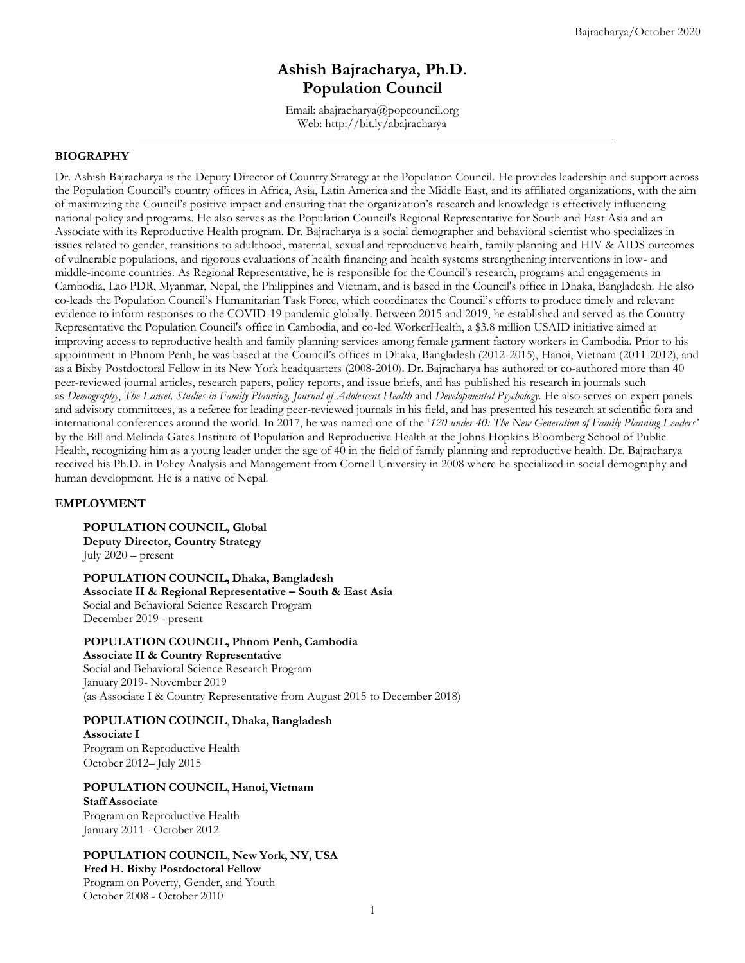# **Ashish Bajracharya, Ph.D. Population Council**

Email: abajracharya@popcouncil.org Web:<http://bit.ly/abajracharya>

## **BIOGRAPHY**

Dr. Ashish Bajracharya is the Deputy Director of Country Strategy at the Population Council. He provides leadership and support across the Population Council's country offices in Africa, Asia, Latin America and the Middle East, and its affiliated organizations, with the aim of maximizing the Council's positive impact and ensuring that the organization's research and knowledge is effectively influencing national policy and programs. He also serves as the Population Council's Regional Representative for South and East Asia and an Associate with its Reproductive Health program. Dr. Bajracharya is a social demographer and behavioral scientist who specializes in issues related to gender, transitions to adulthood, maternal, sexual and reproductive health, family planning and HIV & AIDS outcomes of vulnerable populations, and rigorous evaluations of health financing and health systems strengthening interventions in low- and middle-income countries. As Regional Representative, he is responsible for the Council's research, programs and engagements in Cambodia, Lao PDR, Myanmar, Nepal, the Philippines and Vietnam, and is based in the Council's office in Dhaka, Bangladesh. He also co-leads the Population Council's Humanitarian Task Force, which coordinates the Council's efforts to produce timely and relevant evidence to inform responses to the COVID-19 pandemic globally. Between 2015 and 2019, he established and served as the Country Representative the Population Council's office in Cambodia, and co-led WorkerHealth, a \$3.8 million USAID initiative aimed at improving access to reproductive health and family planning services among female garment factory workers in Cambodia. Prior to his appointment in Phnom Penh, he was based at the Council's offices in Dhaka, Bangladesh (2012-2015), Hanoi, Vietnam (2011-2012), and as a Bixby Postdoctoral Fellow in its New York headquarters (2008-2010). Dr. Bajracharya has authored or co-authored more than 40 peer-reviewed journal articles, research papers, policy reports, and issue briefs, and has published his research in journals such as *Demography*, *The Lancet, Studies in Family Planning, Journal of Adolescent Health* and *Developmental Psychology.* He also serves on expert panels and advisory committees, as a referee for leading peer-reviewed journals in his field, and has presented his research at scientific fora and international conferences around the world. In 2017, he was named one of the '*120 under 40: The New Generation of Family Planning Leaders'* by the Bill and Melinda Gates Institute of Population and Reproductive Health at the Johns Hopkins Bloomberg School of Public Health, recognizing him as a young leader under the age of 40 in the field of family planning and reproductive health. Dr. Bajracharya received his Ph.D. in Policy Analysis and Management from Cornell University in 2008 where he specialized in social demography and human development. He is a native of Nepal.

#### **EMPLOYMENT**

**POPULATION COUNCIL, Global Deputy Director, Country Strategy**  July 2020 – present

**POPULATION COUNCIL, Dhaka, Bangladesh Associate II & Regional Representative – South & East Asia** Social and Behavioral Science Research Program December 2019 - present

#### **POPULATION COUNCIL, Phnom Penh, Cambodia**

**Associate II & Country Representative** Social and Behavioral Science Research Program January 2019- November 2019 (as Associate I & Country Representative from August 2015 to December 2018)

#### **POPULATION COUNCIL**, **Dhaka, Bangladesh**

**Associate I** Program on Reproductive Health October 2012– July 2015

#### **POPULATION COUNCIL**, **Hanoi,Vietnam**

### **Staff Associate**

Program on Reproductive Health January 2011 - October 2012

## **POPULATION COUNCIL**, **New York, NY, USA**

## **Fred H. Bixby Postdoctoral Fellow**

Program on Poverty, Gender, and Youth October 2008 - October 2010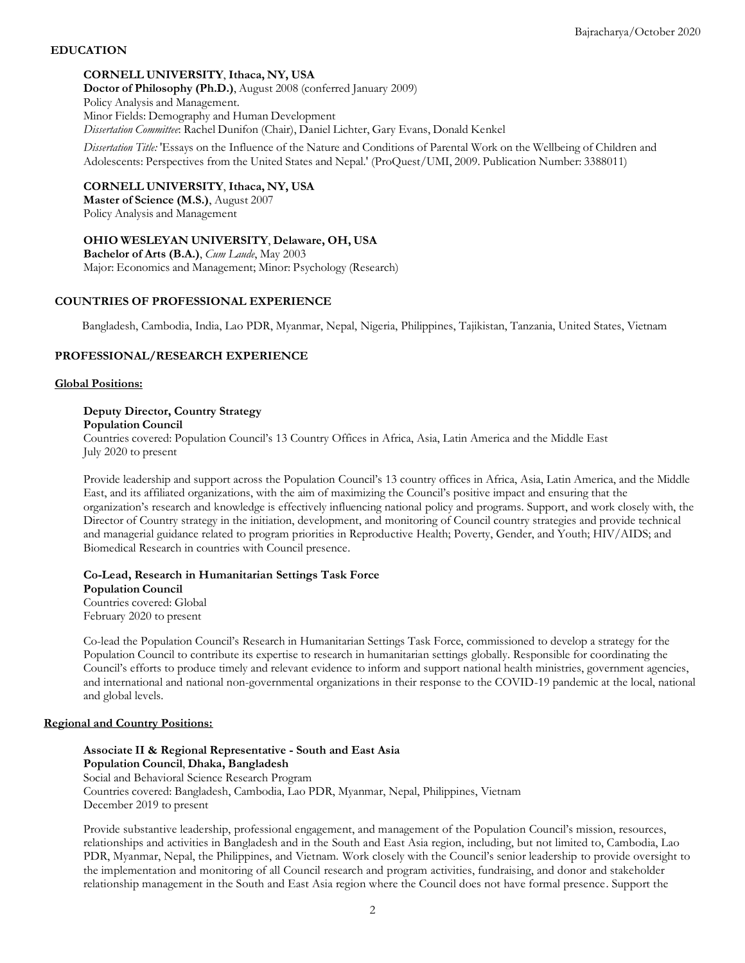## **EDUCATION**

## **CORNELL UNIVERSITY**, **Ithaca, NY, USA**

**Doctor of Philosophy (Ph.D.)**, August 2008 (conferred January 2009) Policy Analysis and Management. Minor Fields: Demography and Human Development *Dissertation Committee*: Rachel Dunifon (Chair), Daniel Lichter, Gary Evans, Donald Kenkel

*Dissertation Title:* 'Essays on the Influence of the Nature and Conditions of Parental Work on the Wellbeing of Children and Adolescents: Perspectives from the United States and Nepal.' (ProQuest/UMI, 2009. Publication Number: 3388011)

#### **CORNELL UNIVERSITY**, **Ithaca, NY, USA**

**Master of Science (M.S.)**, August 2007 Policy Analysis and Management

**OHIO WESLEYAN UNIVERSITY**, **Delaware, OH, USA Bachelor of Arts (B.A.)**, *Cum Laude*, May 2003

Major: Economics and Management; Minor: Psychology (Research)

## **COUNTRIES OF PROFESSIONAL EXPERIENCE**

Bangladesh, Cambodia, India, Lao PDR, Myanmar, Nepal, Nigeria, Philippines, Tajikistan, Tanzania, United States, Vietnam

## **PROFESSIONAL/RESEARCH EXPERIENCE**

#### **Global Positions:**

## **Deputy Director, Country Strategy**

**Population Council**

Countries covered: Population Council's 13 Country Offices in Africa, Asia, Latin America and the Middle East July 2020 to present

Provide leadership and support across the Population Council's 13 country offices in Africa, Asia, Latin America, and the Middle East, and its affiliated organizations, with the aim of maximizing the Council's positive impact and ensuring that the organization's research and knowledge is effectively influencing national policy and programs. Support, and work closely with, the Director of Country strategy in the initiation, development, and monitoring of Council country strategies and provide technical and managerial guidance related to program priorities in Reproductive Health; Poverty, Gender, and Youth; HIV/AIDS; and Biomedical Research in countries with Council presence.

**Co-Lead, Research in Humanitarian Settings Task Force Population Council** Countries covered: Global February 2020 to present

Co-lead the Population Council's Research in Humanitarian Settings Task Force, commissioned to develop a strategy for the Population Council to contribute its expertise to research in humanitarian settings globally. Responsible for coordinating the Council's efforts to produce timely and relevant evidence to inform and support national health ministries, government agencies, and international and national non-governmental organizations in their response to the COVID-19 pandemic at the local, national and global levels.

#### **Regional and Country Positions:**

**Associate II & Regional Representative - South and East Asia Population Council**, **Dhaka, Bangladesh** Social and Behavioral Science Research Program Countries covered: Bangladesh, Cambodia, Lao PDR, Myanmar, Nepal, Philippines, Vietnam December 2019 to present

Provide substantive leadership, professional engagement, and management of the Population Council's mission, resources, relationships and activities in Bangladesh and in the South and East Asia region, including, but not limited to, Cambodia, Lao PDR, Myanmar, Nepal, the Philippines, and Vietnam. Work closely with the Council's senior leadership to provide oversight to the implementation and monitoring of all Council research and program activities, fundraising, and donor and stakeholder relationship management in the South and East Asia region where the Council does not have formal presence. Support the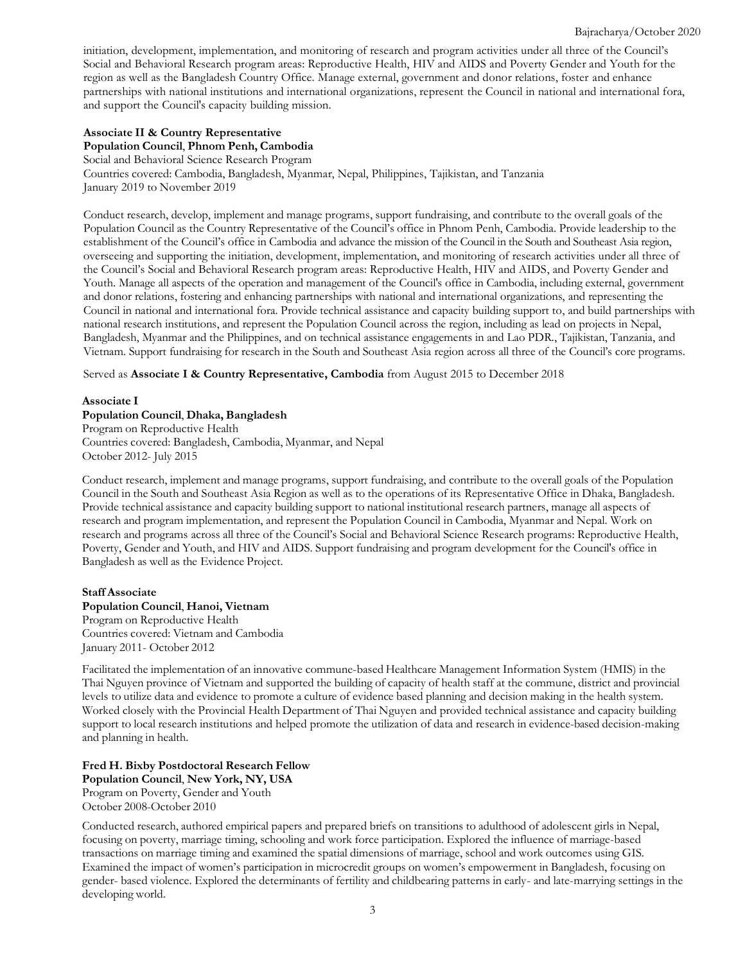initiation, development, implementation, and monitoring of research and program activities under all three of the Council's Social and Behavioral Research program areas: Reproductive Health, HIV and AIDS and Poverty Gender and Youth for the region as well as the Bangladesh Country Office. Manage external, government and donor relations, foster and enhance partnerships with national institutions and international organizations, represent the Council in national and international fora, and support the Council's capacity building mission.

## **Associate II & Country Representative**

**Population Council**, **Phnom Penh, Cambodia**

Social and Behavioral Science Research Program Countries covered: Cambodia, Bangladesh, Myanmar, Nepal, Philippines, Tajikistan, and Tanzania January 2019 to November 2019

Conduct research, develop, implement and manage programs, support fundraising, and contribute to the overall goals of the Population Council as the Country Representative of the Council's office in Phnom Penh, Cambodia. Provide leadership to the establishment of the Council's office in Cambodia and advance the mission of the Council in the South and Southeast Asia region, overseeing and supporting the initiation, development, implementation, and monitoring of research activities under all three of the Council's Social and Behavioral Research program areas: Reproductive Health, HIV and AIDS, and Poverty Gender and Youth. Manage all aspects of the operation and management of the Council's office in Cambodia, including external, government and donor relations, fostering and enhancing partnerships with national and international organizations, and representing the Council in national and international fora. Provide technical assistance and capacity building support to, and build partnerships with national research institutions, and represent the Population Council across the region, including as lead on projects in Nepal, Bangladesh, Myanmar and the Philippines, and on technical assistance engagements in and Lao PDR., Tajikistan, Tanzania, and Vietnam. Support fundraising for research in the South and Southeast Asia region across all three of the Council's core programs.

Served as **Associate I & Country Representative, Cambodia** from August 2015 to December 2018

#### **Associate I**

#### **Population Council**, **Dhaka, Bangladesh**

Program on Reproductive Health Countries covered: Bangladesh, Cambodia, Myanmar, and Nepal October 2012- July 2015

Conduct research, implement and manage programs, support fundraising, and contribute to the overall goals of the Population Council in the South and Southeast Asia Region as well as to the operations of its Representative Office in Dhaka, Bangladesh. Provide technical assistance and capacity building support to national institutional research partners, manage all aspects of research and program implementation, and represent the Population Council in Cambodia, Myanmar and Nepal. Work on research and programs across all three of the Council's Social and Behavioral Science Research programs: Reproductive Health, Poverty, Gender and Youth, and HIV and AIDS. Support fundraising and program development for the Council's office in Bangladesh as well as the Evidence Project.

#### **Staff Associate**

#### **Population Council**, **Hanoi, Vietnam**

Program on Reproductive Health Countries covered: Vietnam and Cambodia January 2011- October 2012

Facilitated the implementation of an innovative commune-based Healthcare Management Information System (HMIS) in the Thai Nguyen province of Vietnam and supported the building of capacity of health staff at the commune, district and provincial levels to utilize data and evidence to promote a culture of evidence based planning and decision making in the health system. Worked closely with the Provincial Health Department of Thai Nguyen and provided technical assistance and capacity building support to local research institutions and helped promote the utilization of data and research in evidence-based decision-making and planning in health.

#### **Fred H. Bixby Postdoctoral Research Fellow Population Council**, **New York, NY, USA**

Program on Poverty, Gender and Youth October 2008-October 2010

Conducted research, authored empirical papers and prepared briefs on transitions to adulthood of adolescent girls in Nepal, focusing on poverty, marriage timing, schooling and work force participation. Explored the influence of marriage-based transactions on marriage timing and examined the spatial dimensions of marriage, school and work outcomes using GIS. Examined the impact of women's participation in microcredit groups on women's empowerment in Bangladesh, focusing on gender- based violence. Explored the determinants of fertility and childbearing patterns in early- and late-marrying settings in the developing world.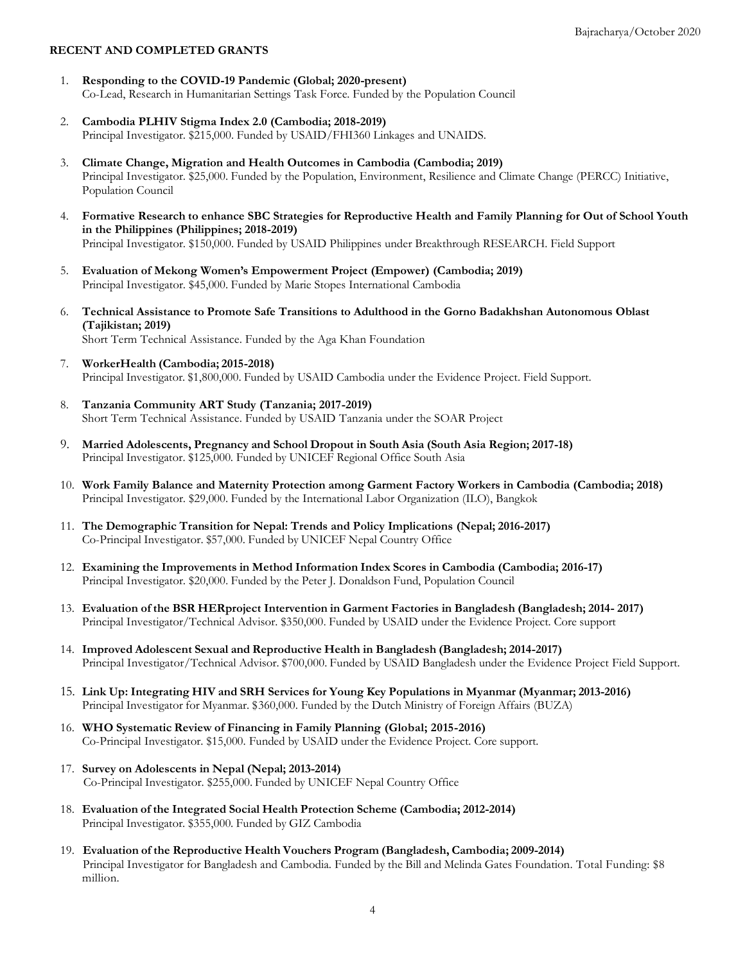#### **RECENT AND COMPLETED GRANTS**

- 1. **Responding to the COVID-19 Pandemic (Global; 2020-present)** Co-Lead, Research in Humanitarian Settings Task Force. Funded by the Population Council
- 2. **Cambodia PLHIV Stigma Index 2.0 (Cambodia; 2018-2019)** Principal Investigator. \$215,000. Funded by USAID/FHI360 Linkages and UNAIDS.
- 3. **Climate Change, Migration and Health Outcomes in Cambodia (Cambodia; 2019)** Principal Investigator. \$25,000. Funded by the Population, Environment, Resilience and Climate Change (PERCC) Initiative, Population Council
- 4. **Formative Research to enhance SBC Strategies for Reproductive Health and Family Planning for Out of School Youth in the Philippines (Philippines; 2018-2019)** Principal Investigator. \$150,000. Funded by USAID Philippines under Breakthrough RESEARCH. Field Support
- 5. **Evaluation of Mekong Women's Empowerment Project (Empower) (Cambodia; 2019)** Principal Investigator. \$45,000. Funded by Marie Stopes International Cambodia
- 6. **Technical Assistance to Promote Safe Transitions to Adulthood in the Gorno Badakhshan Autonomous Oblast (Tajikistan; 2019)** Short Term Technical Assistance. Funded by the Aga Khan Foundation
- 7. **WorkerHealth (Cambodia; 2015-2018)** Principal Investigator. \$1,800,000. Funded by USAID Cambodia under the Evidence Project. Field Support.
- 8. **Tanzania Community ART Study (Tanzania; 2017-2019)** Short Term Technical Assistance. Funded by USAID Tanzania under the SOAR Project
- 9. **Married Adolescents, Pregnancy and School Dropout in South Asia (South Asia Region; 2017-18)** Principal Investigator. \$125,000. Funded by UNICEF Regional Office South Asia
- 10. **Work Family Balance and Maternity Protection among Garment Factory Workers in Cambodia (Cambodia; 2018)** Principal Investigator. \$29,000. Funded by the International Labor Organization (ILO), Bangkok
- 11. **The Demographic Transition for Nepal: Trends and Policy Implications (Nepal; 2016-2017)** Co-Principal Investigator. \$57,000. Funded by UNICEF Nepal Country Office
- 12. **Examining the Improvements in Method Information Index Scores in Cambodia (Cambodia; 2016-17)** Principal Investigator. \$20,000. Funded by the Peter J. Donaldson Fund, Population Council
- 13. **Evaluation of the BSR HERproject Intervention in Garment Factories in Bangladesh (Bangladesh; 2014- 2017)** Principal Investigator/Technical Advisor. \$350,000. Funded by USAID under the Evidence Project. Core support
- 14. **Improved Adolescent Sexual and Reproductive Health in Bangladesh (Bangladesh; 2014-2017)** Principal Investigator/Technical Advisor. \$700,000. Funded by USAID Bangladesh under the Evidence Project Field Support.
- 15. **Link Up: Integrating HIV and SRH Services for Young Key Populations in Myanmar (Myanmar; 2013-2016)** Principal Investigator for Myanmar. \$360,000. Funded by the Dutch Ministry of Foreign Affairs (BUZA)
- 16. **WHO Systematic Review of Financing in Family Planning (Global; 2015-2016)** Co-Principal Investigator. \$15,000. Funded by USAID under the Evidence Project. Core support.
- 17. **Survey on Adolescents in Nepal (Nepal; 2013-2014)** Co-Principal Investigator. \$255,000. Funded by UNICEF Nepal Country Office
- 18. **Evaluation of the Integrated Social Health Protection Scheme (Cambodia; 2012-2014)** Principal Investigator. \$355,000. Funded by GIZ Cambodia
- 19. **Evaluation of the Reproductive Health Vouchers Program (Bangladesh, Cambodia; 2009-2014)** Principal Investigator for Bangladesh and Cambodia. Funded by the Bill and Melinda Gates Foundation. Total Funding: \$8 million.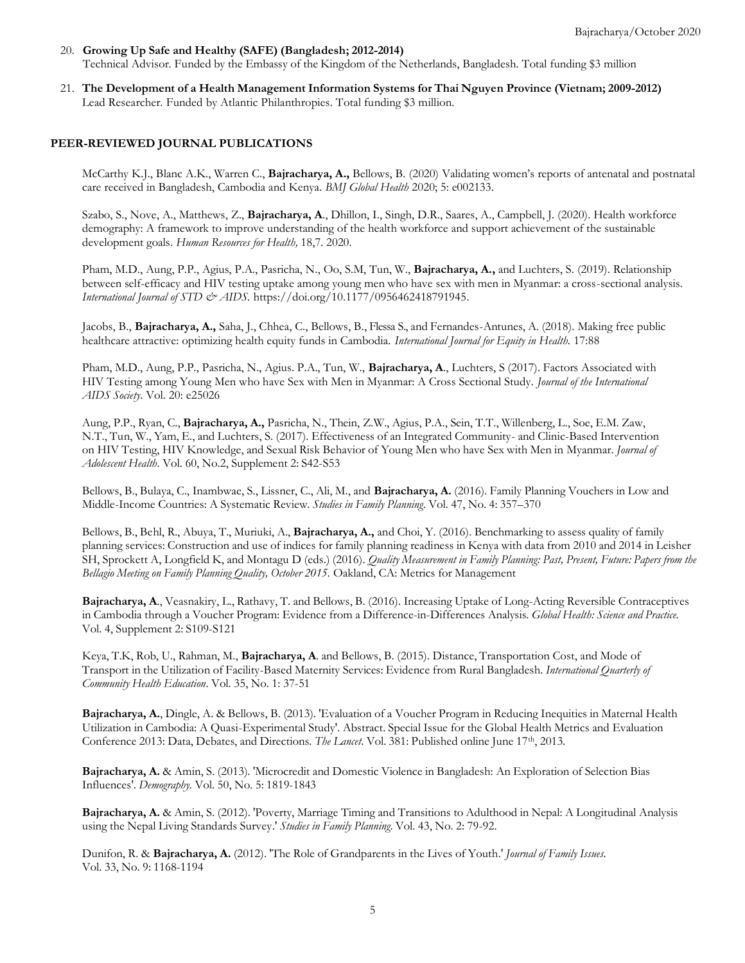- 20. **Growing Up Safe and Healthy (SAFE) (Bangladesh; 2012-2014)** Technical Advisor. Funded by the Embassy of the Kingdom of the Netherlands, Bangladesh. Total funding \$3 million
- 21. **The Development of a Health Management Information Systems for Thai Nguyen Province (Vietnam; 2009-2012)**  Lead Researcher. Funded by Atlantic Philanthropies. Total funding \$3 million.

## **PEER-REVIEWED JOURNAL PUBLICATIONS**

McCarthy K.J., Blanc A.K., Warren C., **Bajracharya, A.,** Bellows, B. (2020) Validating women's reports of antenatal and postnatal care received in Bangladesh, Cambodia and Kenya. *BMJ Global Health* 2020; 5: e002133.

Szabo, S., Nove, A., Matthews, Z., **Bajracharya, A**., Dhillon, I., Singh, D.R., Saares, A., Campbell, J. (2020). Health workforce demography: A framework to improve understanding of the health workforce and support achievement of the sustainable development goals. *Human Resources for Health,* 18,7. 2020.

Pham, M.D., Aung, P.P., Agius, P.A., Pasricha, N., Oo, S.M, Tun, W., **Bajracharya, A.,** and Luchters, S. (2019). Relationship between self-efficacy and HIV testing uptake among young men who have sex with men in Myanmar: a cross-sectional analysis. *International Journal of STD & AIDS.* [https://doi.org/10.1177/0956462418791945.](https://doi.org/10.1177%2F0956462418791945)

Jacobs, B., **Bajracharya, A.,** Saha, J., Chhea, C., Bellows, B., Flessa S., and Fernandes-Antunes, A. (2018). Making free public healthcare attractive: optimizing health equity funds in Cambodia. *International Journal for Equity in Health.* 17:88

Pham, M.D., Aung, P.P., Pasricha, N., Agius. P.A., Tun, W., **Bajracharya, A**., Luchters, S (2017). Factors Associated with HIV Testing among Young Men who have Sex with Men in Myanmar: A Cross Sectional Study. *Journal of the International AIDS Society*. Vol. 20: e25026

Aung, P.P., Ryan, C., **Bajracharya, A.,** Pasricha, N., Thein, Z.W., Agius, P.A., Sein, T.T., Willenberg, L., Soe, E.M. Zaw, N.T., Tun, W., Yam, E., and Luchters, S. (2017). Effectiveness of an Integrated Community- and Clinic-Based Intervention on HIV Testing, HIV Knowledge, and Sexual Risk Behavior of Young Men who have Sex with Men in Myanmar. *Journal of Adolescent Health.* Vol. 60, No.2, Supplement 2: S42-S53

Bellows, B., Bulaya, C., Inambwae, S., Lissner, C., Ali, M., and **Bajracharya, A.** (2016). Family Planning Vouchers in Low and Middle-Income Countries: A Systematic Review. *Studies in Family Planning*. Vol. 47, No. 4: 357–370

Bellows, B., Behl, R., Abuya, T., Muriuki, A., **Bajracharya, A.,** and Choi, Y. (2016). Benchmarking to assess quality of family planning services: Construction and use of indices for family planning readiness in Kenya with data from 2010 and 2014 in Leisher SH, Sprockett A, Longfield K, and Montagu D (eds.) (2016). *Quality Measurement in Family Planning: Past, Present, Future: Papers from the Bellagio Meeting on Family Planning Quality, October 2015.* Oakland, CA: Metrics for Management

**Bajracharya, A**., Veasnakiry, L., Rathavy, T. and Bellows, B. (2016). Increasing Uptake of Long-Acting Reversible Contraceptives in Cambodia through a Voucher Program: Evidence from a Difference-in-Differences Analysis. *Global Health: Science and Practice.* Vol. 4, Supplement 2: S109-S121

Keya, T.K, Rob, U., Rahman, M., **Bajracharya, A**. and Bellows, B. (2015). Distance, Transportation Cost, and Mode of Transport in the Utilization of Facility-Based Maternity Services: Evidence from Rural Bangladesh. *International Quarterly of Community Health Education*. Vol. 35, No. 1: 37-51

**Bajracharya, A.**, Dingle, A. & Bellows, B. (2013). 'Evaluation of a Voucher Program in Reducing Inequities in Maternal Health Utilization in Cambodia: A Quasi-Experimental Study'. Abstract. Special Issue for the Global Health Metrics and Evaluation Conference 2013: Data, Debates, and Directions. The Lancet. Vol. 381: Published online June 17<sup>th</sup>, 2013.

**Bajracharya, A.** & Amin, S. (2013). 'Microcredit and Domestic Violence in Bangladesh: An Exploration of Selection Bias Influences'. *Demography.* Vol. 50, No. 5: 1819-1843

**Bajracharya, A.** & Amin, S. (2012). 'Poverty, Marriage Timing and Transitions to Adulthood in Nepal: A Longitudinal Analysis using the Nepal Living Standards Survey.' *Studies in Family Planning*. Vol. 43, No. 2: 79-92.

Dunifon, R. & **Bajracharya, A.** (2012). 'The Role of Grandparents in the Lives of Youth.' *Journal of Family Issues.* Vol. 33, No. 9: 1168-1194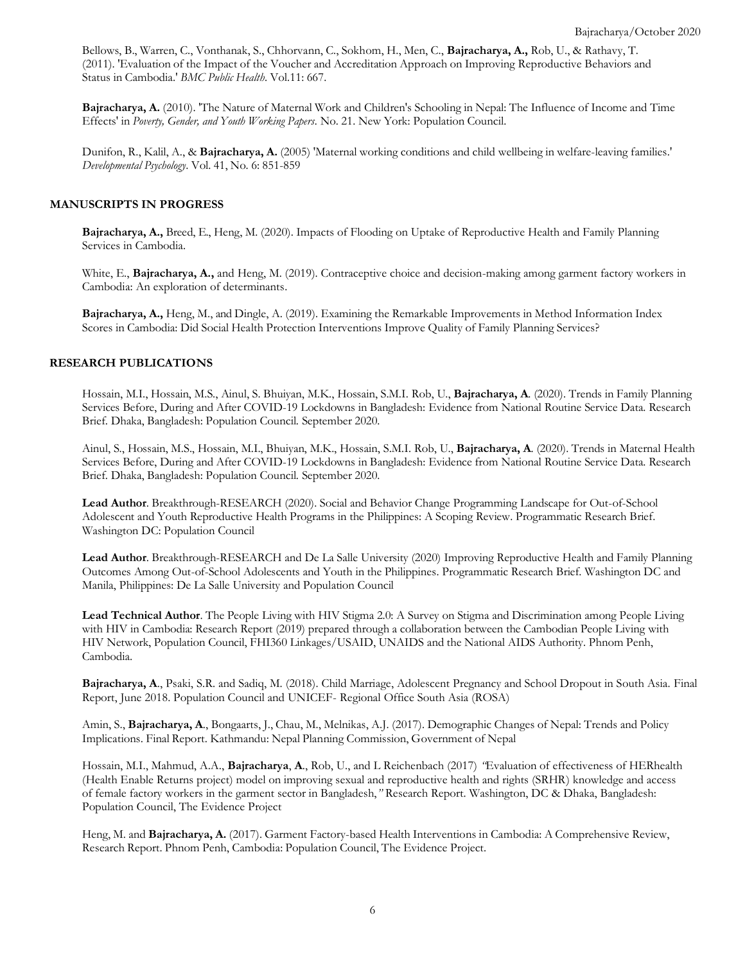Bellows, B., Warren, C., Vonthanak, S., Chhorvann, C., Sokhom, H., Men, C., **Bajracharya, A.,** Rob, U., & Rathavy, T. (2011). 'Evaluation of the Impact of the Voucher and Accreditation Approach on Improving Reproductive Behaviors and Status in Cambodia.' *BMC Public Health*. Vol.11: 667.

**Bajracharya, A.** (2010). 'The Nature of Maternal Work and Children's Schooling in Nepal: The Influence of Income and Time Effects' in *Poverty, Gender, and Youth Working Papers.* No. 21. New York: Population Council.

Dunifon, R., Kalil, A., & **Bajracharya, A.** (2005) 'Maternal working conditions and child wellbeing in welfare-leaving families.' *Developmental Psychology*. Vol. 41, No. 6: 851-859

## **MANUSCRIPTS IN PROGRESS**

**Bajracharya, A.,** Breed, E., Heng, M. (2020). Impacts of Flooding on Uptake of Reproductive Health and Family Planning Services in Cambodia.

White, E., **Bajracharya, A.**, and Heng, M. (2019). Contraceptive choice and decision-making among garment factory workers in Cambodia: An exploration of determinants.

**Bajracharya, A.,** Heng, M., and Dingle, A. (2019). Examining the Remarkable Improvements in Method Information Index Scores in Cambodia: Did Social Health Protection Interventions Improve Quality of Family Planning Services?

#### **RESEARCH PUBLICATIONS**

Hossain, M.I., Hossain, M.S., Ainul, S. Bhuiyan, M.K., Hossain, S.M.I. Rob, U., **Bajracharya, A**. (2020). Trends in Family Planning Services Before, During and After COVID-19 Lockdowns in Bangladesh: Evidence from National Routine Service Data. Research Brief. Dhaka, Bangladesh: Population Council. September 2020.

Ainul, S., Hossain, M.S., Hossain, M.I., Bhuiyan, M.K., Hossain, S.M.I. Rob, U., **Bajracharya, A**. (2020). Trends in Maternal Health Services Before, During and After COVID-19 Lockdowns in Bangladesh: Evidence from National Routine Service Data. Research Brief. Dhaka, Bangladesh: Population Council. September 2020.

**Lead Author**. Breakthrough-RESEARCH (2020). Social and Behavior Change Programming Landscape for Out-of-School Adolescent and Youth Reproductive Health Programs in the Philippines: A Scoping Review. Programmatic Research Brief. Washington DC: Population Council

**Lead Author**. Breakthrough-RESEARCH and De La Salle University (2020) Improving Reproductive Health and Family Planning Outcomes Among Out-of-School Adolescents and Youth in the Philippines. Programmatic Research Brief. Washington DC and Manila, Philippines: De La Salle University and Population Council

**Lead Technical Author**. The People Living with HIV Stigma 2.0: A Survey on Stigma and Discrimination among People Living with HIV in Cambodia: Research Report (2019) prepared through a collaboration between the Cambodian People Living with HIV Network, Population Council, FHI360 Linkages/USAID, UNAIDS and the National AIDS Authority. Phnom Penh, Cambodia.

**Bajracharya, A**., Psaki, S.R. and Sadiq, M. (2018). Child Marriage, Adolescent Pregnancy and School Dropout in South Asia. Final Report, June 2018. Population Council and UNICEF- Regional Office South Asia (ROSA)

Amin, S., **Bajracharya, A**., Bongaarts, J., Chau, M., Melnikas, A.J. (2017). Demographic Changes of Nepal: Trends and Policy Implications. Final Report. Kathmandu: Nepal Planning Commission, Government of Nepal

Hossain, M.I., Mahmud, A.A., **Bajracharya**, **A**., Rob, U., and L Reichenbach (2017) *"*Evaluation of effectiveness of HERhealth (Health Enable Returns project) model on improving sexual and reproductive health and rights (SRHR) knowledge and access of female factory workers in the garment sector in Bangladesh,*"* Research Report. Washington, DC & Dhaka, Bangladesh: Population Council, The Evidence Project

Heng, M. and **Bajracharya, A.** (2017). Garment Factory-based Health Interventions in Cambodia: A Comprehensive Review, Research Report. Phnom Penh, Cambodia: Population Council, The Evidence Project.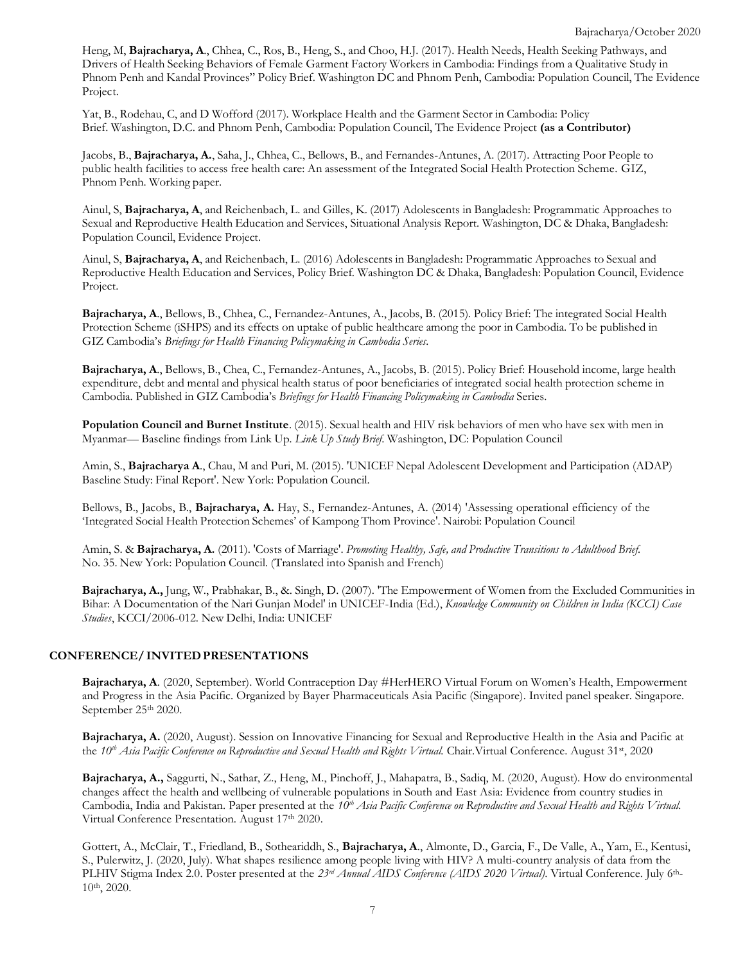Heng, M, **Bajracharya, A**., Chhea, C., Ros, B., Heng, S., and Choo, H.J. (2017). Health Needs, Health Seeking Pathways, and Drivers of Health Seeking Behaviors of Female Garment Factory Workers in Cambodia: Findings from a Qualitative Study in Phnom Penh and Kandal Provinces" Policy Brief. Washington DC and Phnom Penh, Cambodia: Population Council, The Evidence Project.

Yat, B., Rodehau, C, and D Wofford (2017). Workplace Health and the Garment Sector in Cambodia: Policy Brief. Washington, D.C. and Phnom Penh, Cambodia: Population Council, The Evidence Project **(as a Contributor)**

Jacobs, B., **Bajracharya, A.**, Saha, J., Chhea, C., Bellows, B., and Fernandes-Antunes, A. (2017). Attracting Poor People to public health facilities to access free health care: An assessment of the Integrated Social Health Protection Scheme. GIZ, Phnom Penh. Working paper.

Ainul, S, **Bajracharya, A**, and Reichenbach, L. and Gilles, K. (2017) Adolescents in Bangladesh: Programmatic Approaches to Sexual and Reproductive Health Education and Services, Situational Analysis Report. Washington, DC & Dhaka, Bangladesh: Population Council, Evidence Project.

Ainul, S, **Bajracharya, A**, and Reichenbach, L. (2016) Adolescents in Bangladesh: Programmatic Approaches to Sexual and Reproductive Health Education and Services, Policy Brief. Washington DC & Dhaka, Bangladesh: Population Council, Evidence Project.

**Bajracharya, A**., Bellows, B., Chhea, C., Fernandez-Antunes, A., Jacobs, B. (2015). Policy Brief: The integrated Social Health Protection Scheme (iSHPS) and its effects on uptake of public healthcare among the poor in Cambodia. To be published in GIZ Cambodia's *Briefings for Health Financing Policymaking in Cambodia Series.*

**Bajracharya, A**., Bellows, B., Chea, C., Fernandez-Antunes, A., Jacobs, B. (2015). Policy Brief: Household income, large health expenditure, debt and mental and physical health status of poor beneficiaries of integrated social health protection scheme in Cambodia. Published in GIZ Cambodia's *Briefings for Health Financing Policymaking in Cambodia* Series.

**Population Council and Burnet Institute**. (2015). Sexual health and HIV risk behaviors of men who have sex with men in Myanmar— Baseline findings from Link Up*. Link Up Study Brief*. Washington, DC: Population Council

Amin, S., **Bajracharya A**., Chau, M and Puri, M. (2015). 'UNICEF Nepal Adolescent Development and Participation (ADAP) Baseline Study: Final Report'. New York: Population Council.

Bellows, B., Jacobs, B., **Bajracharya, A.** Hay, S., Fernandez-Antunes, A. (2014) 'Assessing operational efficiency of the 'Integrated Social Health Protection Schemes' of Kampong Thom Province'. Nairobi: Population Council

Amin, S. & **Bajracharya, A.** (2011). 'Costs of Marriage'. *Promoting Healthy, Safe, and Productive Transitions to Adulthood Brief.* No. 35. New York: Population Council. (Translated into Spanish and French)

**Bajracharya, A.,** Jung, W., Prabhakar, B., &. Singh, D. (2007). 'The Empowerment of Women from the Excluded Communities in Bihar: A Documentation of the Nari Gunjan Model' in UNICEF-India (Ed.), *Knowledge Community on Children in India (KCCI) Case Studies*, KCCI/2006-012. New Delhi, India: UNICEF

## **CONFERENCE/ INVITEDPRESENTATIONS**

**Bajracharya, A**. (2020, September). World Contraception Day #HerHERO Virtual Forum on Women's Health, Empowerment and Progress in the Asia Pacific. Organized by Bayer Pharmaceuticals Asia Pacific (Singapore). Invited panel speaker. Singapore. September 25th 2020.

**Bajracharya, A.** (2020, August). Session on Innovative Financing for Sexual and Reproductive Health in the Asia and Pacific at the *10th Asia Pacific Conference on Reproductive and Sexual Health and Rights Virtual.* Chair.Virtual Conference. August 31st, 2020

**Bajracharya, A.,** Saggurti, N., Sathar, Z., Heng, M., Pinchoff, J., Mahapatra, B., Sadiq, M. (2020, August). How do environmental changes affect the health and wellbeing of vulnerable populations in South and East Asia: Evidence from country studies in Cambodia, India and Pakistan. Paper presented at the *10th Asia Pacific Conference on Reproductive and Sexual Health and Rights Virtual.*  Virtual Conference Presentation. August 17th 2020.

Gottert, A., McClair, T., Friedland, B., Sotheariddh, S., **Bajracharya, A**., Almonte, D., Garcia, F., De Valle, A., Yam, E., Kentusi, S., Pulerwitz, J. (2020, July). What shapes resilience among people living with HIV? A multi-country analysis of data from the PLHIV Stigma Index 2.0. Poster presented at the *23rd Annual AIDS Conference (AIDS 2020 Virtual)*. Virtual Conference. July 6th - 10th, 2020.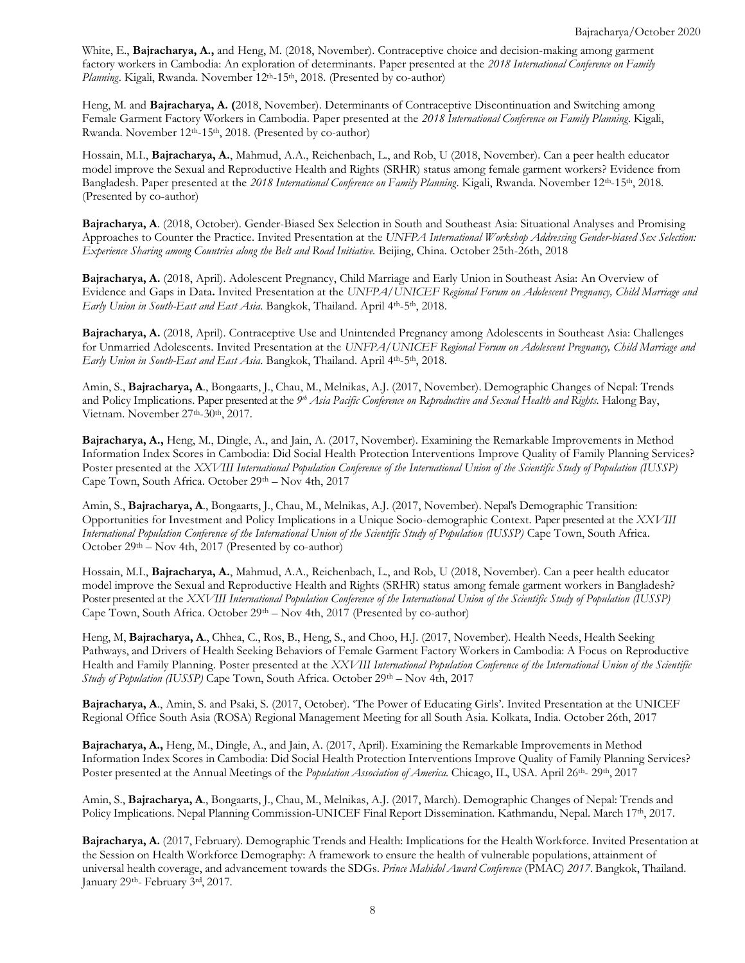White, E., **Bajracharya, A.,** and Heng, M. (2018, November). Contraceptive choice and decision-making among garment factory workers in Cambodia: An exploration of determinants. Paper presented at the *2018 International Conference on Family* Planning. Kigali, Rwanda. November 12<sup>th</sup>-15<sup>th</sup>, 2018. (Presented by co-author)

Heng, M. and **Bajracharya, A. (**2018, November). Determinants of Contraceptive Discontinuation and Switching among Female Garment Factory Workers in Cambodia. Paper presented at the *2018 International Conference on Family Planning*. Kigali, Rwanda. November 12<sup>th</sup>-15<sup>th</sup>, 2018. (Presented by co-author)

Hossain, M.I., **Bajracharya, A.**, Mahmud, A.A., Reichenbach, L., and Rob, U (2018, November). Can a peer health educator model improve the Sexual and Reproductive Health and Rights (SRHR) status among female garment workers? Evidence from Bangladesh. Paper presented at the *2018 International Conference on Family Planning*. Kigali, Rwanda. November 12th -15th, 2018. (Presented by co-author)

**Bajracharya, A**. (2018, October). Gender-Biased Sex Selection in South and Southeast Asia: Situational Analyses and Promising Approaches to Counter the Practice. Invited Presentation at the *UNFPA International Workshop Addressing Gender-biased Sex Selection: Experience Sharing among Countries along the Belt and Road Initiative.* Beijing, China. October 25th-26th, 2018

**Bajracharya, A.** (2018, April). Adolescent Pregnancy, Child Marriage and Early Union in Southeast Asia: An Overview of Evidence and Gaps in Data**.** Invited Presentation at the *UNFPA/UNICEF Regional Forum on Adolescent Pregnancy, Child Marriage and*  Early Union in South-East and East Asia. Bangkok, Thailand. April 4<sup>th</sup>-5<sup>th</sup>, 2018.

**Bajracharya, A.** (2018, April). Contraceptive Use and Unintended Pregnancy among Adolescents in Southeast Asia: Challenges for Unmarried Adolescents. Invited Presentation at the *UNFPA/UNICEF Regional Forum on Adolescent Pregnancy, Child Marriage and*  Early Union in South-East and East Asia. Bangkok, Thailand. April 4<sup>th</sup>-5<sup>th</sup>, 2018.

Amin, S., **Bajracharya, A**., Bongaarts, J., Chau, M., Melnikas, A.J. (2017, November). Demographic Changes of Nepal: Trends and Policy Implications. Paper presented at the *9 th Asia Pacific Conference on Reproductive and Sexual Health and Rights.* Halong Bay, Vietnam. November 27<sup>th</sup>-30<sup>th</sup>, 2017.

**Bajracharya, A.,** Heng, M., Dingle, A., and Jain, A. (2017, November). Examining the Remarkable Improvements in Method Information Index Scores in Cambodia: Did Social Health Protection Interventions Improve Quality of Family Planning Services? Poster presented at the *XXVIII International Population Conference of the International Union of the Scientific Study of Population (IUSSP)* Cape Town, South Africa. October 29th – Nov 4th, 2017

Amin, S., **Bajracharya, A**., Bongaarts, J., Chau, M., Melnikas, A.J. (2017, November). Nepal's Demographic Transition: Opportunities for Investment and Policy Implications in a Unique Socio-demographic Context. Paper presented at the *XXVIII International Population Conference of the International Union of the Scientific Study of Population (IUSSP)* Cape Town, South Africa. October 29th – Nov 4th, 2017 (Presented by co-author)

Hossain, M.I., **Bajracharya, A.**, Mahmud, A.A., Reichenbach, L., and Rob, U (2018, November). Can a peer health educator model improve the Sexual and Reproductive Health and Rights (SRHR) status among female garment workers in Bangladesh? Poster presented at the *XXVIII International Population Conference of the International Union of the Scientific Study of Population (IUSSP)* Cape Town, South Africa. October  $29<sup>th</sup> - Nov 4th$ , 2017 (Presented by co-author)

Heng, M, **Bajracharya, A**., Chhea, C., Ros, B., Heng, S., and Choo, H.J. (2017, November). Health Needs, Health Seeking Pathways, and Drivers of Health Seeking Behaviors of Female Garment Factory Workers in Cambodia: A Focus on Reproductive Health and Family Planning. Poster presented at the *XXVIII International Population Conference of the International Union of the Scientific Study of Population (IUSSP)* Cape Town, South Africa. October 29th – Nov 4th, 2017

**Bajracharya, A**., Amin, S. and Psaki, S. (2017, October). 'The Power of Educating Girls'. Invited Presentation at the UNICEF Regional Office South Asia (ROSA) Regional Management Meeting for all South Asia. Kolkata, India. October 26th, 2017

**Bajracharya, A.,** Heng, M., Dingle, A., and Jain, A. (2017, April). Examining the Remarkable Improvements in Method Information Index Scores in Cambodia: Did Social Health Protection Interventions Improve Quality of Family Planning Services? Poster presented at the Annual Meetings of the *Population Association of America*. Chicago, IL, USA. April 26<sup>th</sup>- 29<sup>th</sup>, 2017

Amin, S., **Bajracharya, A**., Bongaarts, J., Chau, M., Melnikas, A.J. (2017, March). Demographic Changes of Nepal: Trends and Policy Implications. Nepal Planning Commission-UNICEF Final Report Dissemination. Kathmandu, Nepal. March 17th , 2017.

**Bajracharya, A.** (2017, February). Demographic Trends and Health: Implications for the Health Workforce. Invited Presentation at the Session on Health Workforce Demography: A framework to ensure the health of vulnerable populations, attainment of universal health coverage, and advancement towards the SDGs. *Prince Mahidol Award Conference* (PMAC) *2017*. Bangkok, Thailand. January 29<sup>th</sup>- February 3rd, 2017.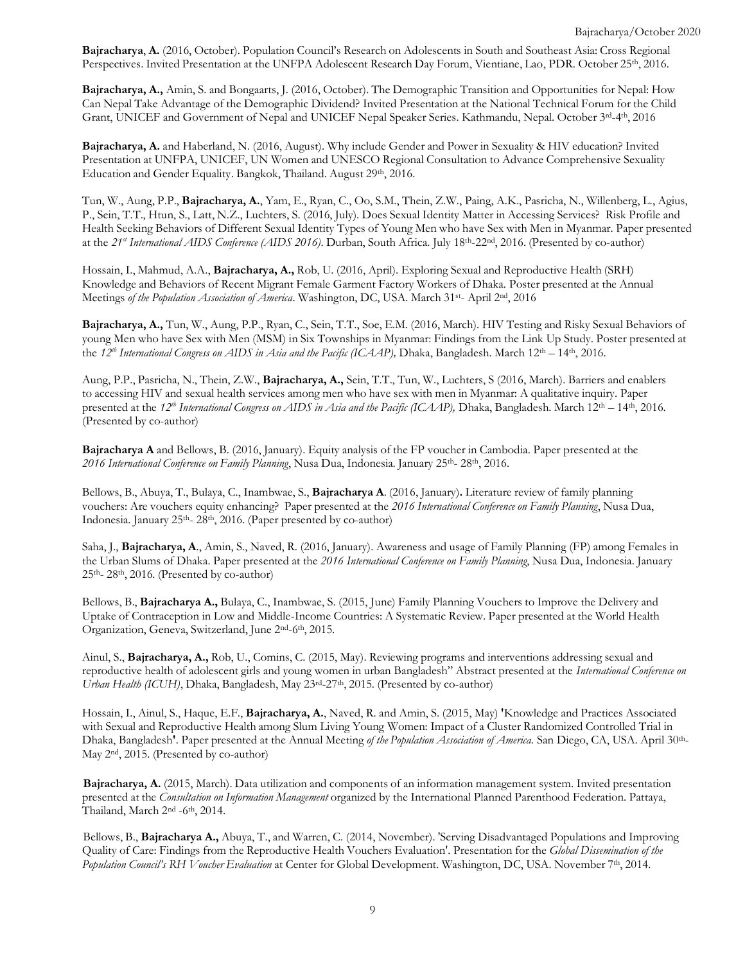**Bajracharya**, **A.** (2016, October). Population Council's Research on Adolescents in South and Southeast Asia: Cross Regional Perspectives. Invited Presentation at the UNFPA Adolescent Research Day Forum, Vientiane, Lao, PDR. October 25<sup>th</sup>, 2016.

**Bajracharya, A.,** Amin, S. and Bongaarts, J. (2016, October). The Demographic Transition and Opportunities for Nepal: How Can Nepal Take Advantage of the Demographic Dividend? Invited Presentation at the National Technical Forum for the Child Grant, UNICEF and Government of Nepal and UNICEF Nepal Speaker Series. Kathmandu, Nepal. October 3rd-4th, 2016

**Bajracharya, A.** and Haberland, N. (2016, August). Why include Gender and Power in Sexuality & HIV education? Invited Presentation at UNFPA, UNICEF, UN Women and UNESCO Regional Consultation to Advance Comprehensive Sexuality Education and Gender Equality. Bangkok, Thailand. August 29th, 2016.

Tun, W., Aung, P.P., **Bajracharya, A.**, Yam, E., Ryan, C., Oo, S.M., Thein, Z.W., Paing, A.K., Pasricha, N., Willenberg, L., Agius, P., Sein, T.T., Htun, S., Latt, N.Z., Luchters, S. (2016, July). Does Sexual Identity Matter in Accessing Services? Risk Profile and Health Seeking Behaviors of Different Sexual Identity Types of Young Men who have Sex with Men in Myanmar. Paper presented at the *21st International AIDS Conference (AIDS 2016)*. Durban, South Africa. July 18 th -22nd , 2016. (Presented by co-author)

Hossain, I., Mahmud, A.A., **Bajracharya, A.,** Rob, U. (2016, April). Exploring Sexual and Reproductive Health (SRH) Knowledge and Behaviors of Recent Migrant Female Garment Factory Workers of Dhaka. Poster presented at the Annual Meetings of the Population Association of America. Washington, DC, USA. March 31<sup>st</sup>- April 2<sup>nd</sup>, 2016

**Bajracharya, A.,** Tun, W., Aung, P.P., Ryan, C., Sein, T.T., Soe, E.M. (2016, March). HIV Testing and Risky Sexual Behaviors of young Men who have Sex with Men (MSM) in Six Townships in Myanmar: Findings from the Link Up Study. Poster presented at the *12 th International Congress on AIDS in Asia and the Pacific (ICAAP),* Dhaka, Bangladesh. March 12th – 14th , 2016.

Aung, P.P., Pasricha, N., Thein, Z.W., **Bajracharya, A.,** Sein, T.T., Tun, W., Luchters, S (2016, March). Barriers and enablers to accessing HIV and sexual health services among men who have sex with men in Myanmar: A qualitative inquiry. Paper presented at the *12th International Congress on AIDS in Asia and the Pacific (ICAAP),* Dhaka, Bangladesh. March 12th – 14th , 2016. (Presented by co-author)

**Bajracharya A** and Bellows, B. (2016, January). Equity analysis of the FP voucher in Cambodia. Paper presented at the *2016 International Conference on Family Planning*, Nusa Dua, Indonesia. January 25 th - 28th , 2016.

Bellows, B., Abuya, T., Bulaya, C., Inambwae, S., **Bajracharya A**. (2016, January)**.** Literature review of family planning vouchers: Are vouchers equity enhancing? Paper presented at the *2016 International Conference on Family Planning*, Nusa Dua, Indonesia. January 25<sup>th</sup>-28<sup>th</sup>, 2016. (Paper presented by co-author)

Saha, J., **Bajracharya, A**., Amin, S., Naved, R. (2016, January). Awareness and usage of Family Planning (FP) among Females in the Urban Slums of Dhaka. Paper presented at the *2016 International Conference on Family Planning*, Nusa Dua, Indonesia. January  $25<sup>th</sup> - 28<sup>th</sup>$ , 2016. (Presented by co-author)

Bellows, B., **Bajracharya A.,** Bulaya, C., Inambwae, S. (2015, June) Family Planning Vouchers to Improve the Delivery and Uptake of Contraception in Low and Middle-Income Countries: A Systematic Review. Paper presented at the World Health Organization, Geneva, Switzerland, June 2<sup>nd</sup>-6<sup>th</sup>, 2015.

Ainul, S., **Bajracharya, A.,** Rob, U., Comins, C. (2015, May). Reviewing programs and interventions addressing sexual and reproductive health of adolescent girls and young women in urban Bangladesh" Abstract presented at the *International Conference on* Urban Health (ICUH), Dhaka, Bangladesh, May 23<sup>rd</sup>-27<sup>th</sup>, 2015. (Presented by co-author)

Hossain, I., Ainul, S., Haque, E.F., **Bajracharya, A.**, Naved, R. and Amin, S. (2015, May) **'**Knowledge and Practices Associated with Sexual and Reproductive Health among Slum Living Young Women: Impact of a Cluster Randomized Controlled Trial in Dhaka, Bangladesh**'**. Paper presented at the Annual Meeting *of the Population Association of America.* San Diego, CA, USA. April 30 th - May 2<sup>nd</sup>, 2015. (Presented by co-author)

**Bajracharya, A.** (2015, March). Data utilization and components of an information management system. Invited presentation presented at the *Consultation on Information Management* organized by the International Planned Parenthood Federation. Pattaya, Thailand, March 2<sup>nd</sup> -6<sup>th</sup>, 2014.

Bellows, B., **Bajracharya A.,** Abuya, T., and Warren, C. (2014, November). 'Serving Disadvantaged Populations and Improving Quality of Care: Findings from the Reproductive Health Vouchers Evaluation'. Presentation for the *Global Dissemination of the Population Council's RH Voucher Evaluation* at Center for Global Development. Washington, DC, USA. November 7 th , 2014.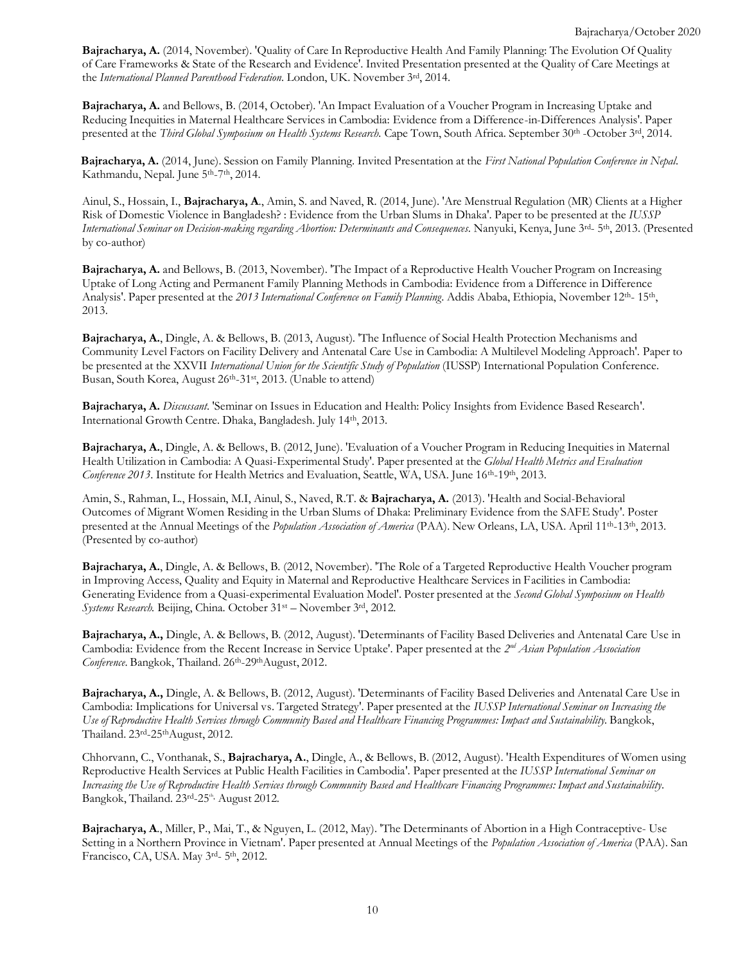**Bajracharya, A.** (2014, November). 'Quality of Care In Reproductive Health And Family Planning: The Evolution Of Quality of Care Frameworks & State of the Research and Evidence'. Invited Presentation presented at the Quality of Care Meetings at the *International Planned Parenthood Federation*. London, UK. November 3 rd , 2014.

**Bajracharya, A.** and Bellows, B. (2014, October). 'An Impact Evaluation of a Voucher Program in Increasing Uptake and Reducing Inequities in Maternal Healthcare Services in Cambodia: Evidence from a Difference-in-Differences Analysis'. Paper presented at the *Third Global Symposium on Health Systems Research.* Cape Town, South Africa. September 30th -October 3 rd , 2014.

**Bajracharya, A.** (2014, June). Session on Family Planning. Invited Presentation at the *First National Population Conference in Nepal*. Kathmandu, Nepal. June 5<sup>th</sup>-7<sup>th</sup>, 2014.

Ainul, S., Hossain, I., **Bajracharya, A**., Amin, S. and Naved, R. (2014, June). 'Are Menstrual Regulation (MR) Clients at a Higher Risk of Domestic Violence in Bangladesh? : Evidence from the Urban Slums in Dhaka'. Paper to be presented at the *IUSSP International Seminar on Decision-making regarding Abortion: Determinants and Consequences*. Nanyuki, Kenya, June 3 rd - 5 th , 2013. (Presented by co-author)

**Bajracharya, A.** and Bellows, B. (2013, November). 'The Impact of a Reproductive Health Voucher Program on Increasing Uptake of Long Acting and Permanent Family Planning Methods in Cambodia: Evidence from a Difference in Difference Analysis'. Paper presented at the 2013 International Conference on Family Planning. Addis Ababa, Ethiopia, November 12<sup>th</sup>-15<sup>th</sup>, 2013.

**Bajracharya, A.**, Dingle, A. & Bellows, B. (2013, August). 'The Influence of Social Health Protection Mechanisms and Community Level Factors on Facility Delivery and Antenatal Care Use in Cambodia: A Multilevel Modeling Approach'. Paper to be presented at the XXVII *International Union for the Scientific Study of Population* (IUSSP) International Population Conference. Busan, South Korea, August 26<sup>th</sup>-31<sup>st</sup>, 2013. (Unable to attend)

**Bajracharya, A.** *Discussant*. 'Seminar on Issues in Education and Health: Policy Insights from Evidence Based Research'. International Growth Centre. Dhaka, Bangladesh. July 14<sup>th</sup>, 2013.

**Bajracharya, A.**, Dingle, A. & Bellows, B. (2012, June). 'Evaluation of a Voucher Program in Reducing Inequities in Maternal Health Utilization in Cambodia: A Quasi-Experimental Study'. Paper presented at the *Global Health Metrics and Evaluation* Conference 2013. Institute for Health Metrics and Evaluation, Seattle, WA, USA. June 16<sup>th</sup>-19<sup>th</sup>, 2013.

Amin, S., Rahman, L., Hossain, M.I, Ainul, S., Naved, R.T. & **Bajracharya, A.** (2013). 'Health and Social-Behavioral Outcomes of Migrant Women Residing in the Urban Slums of Dhaka: Preliminary Evidence from the SAFE Study'. Poster presented at the Annual Meetings of the *Population Association of America* (PAA). New Orleans, LA, USA. April 11<sup>th</sup>-13<sup>th</sup>, 2013. (Presented by co-author)

**Bajracharya, A.**, Dingle, A. & Bellows, B. (2012, November). 'The Role of a Targeted Reproductive Health Voucher program in Improving Access, Quality and Equity in Maternal and Reproductive Healthcare Services in Facilities in Cambodia: Generating Evidence from a Quasi-experimental Evaluation Model'. Poster presented at the *Second Global Symposium on Health* Systems Research. Beijing, China. October 31<sup>st</sup> – November 3<sup>rd</sup>, 2012.

**Bajracharya, A.,** Dingle, A. & Bellows, B. (2012, August). 'Determinants of Facility Based Deliveries and Antenatal Care Use in Cambodia: Evidence from the Recent Increase in Service Uptake'. Paper presented at the *2 nd Asian Population Association* Conference. Bangkok, Thailand. 26<sup>th</sup>-29<sup>th</sup>August, 2012.

**Bajracharya, A.,** Dingle, A. & Bellows, B. (2012, August). 'Determinants of Facility Based Deliveries and Antenatal Care Use in Cambodia: Implications for Universal vs. Targeted Strategy'. Paper presented at the *IUSSP International Seminar on Increasing the* Use of Reproductive Health Services through Community Based and Healthcare Financing Programmes: Impact and Sustainability. Bangkok, Thailand. 23rd-25thAugust, 2012.

Chhorvann, C., Vonthanak, S., **Bajracharya, A.**, Dingle, A., & Bellows, B. (2012, August). 'Health Expenditures of Women using Reproductive Health Services at Public Health Facilities in Cambodia'. Paper presented at the *IUSSP International Seminar on* Increasing the Use of Reproductive Health Services through Community Based and Healthcare Financing Programmes: Impact and Sustainability. Bangkok, Thailand. 23rd-25<sup>th,</sup> August 2012.

**Bajracharya, A**., Miller, P., Mai, T., & Nguyen, L. (2012, May). 'The Determinants of Abortion in a High Contraceptive- Use Setting in a Northern Province in Vietnam'. Paper presented at Annual Meetings of the *Population Association of America* (PAA). San Francisco, CA, USA. May 3rd- 5th, 2012.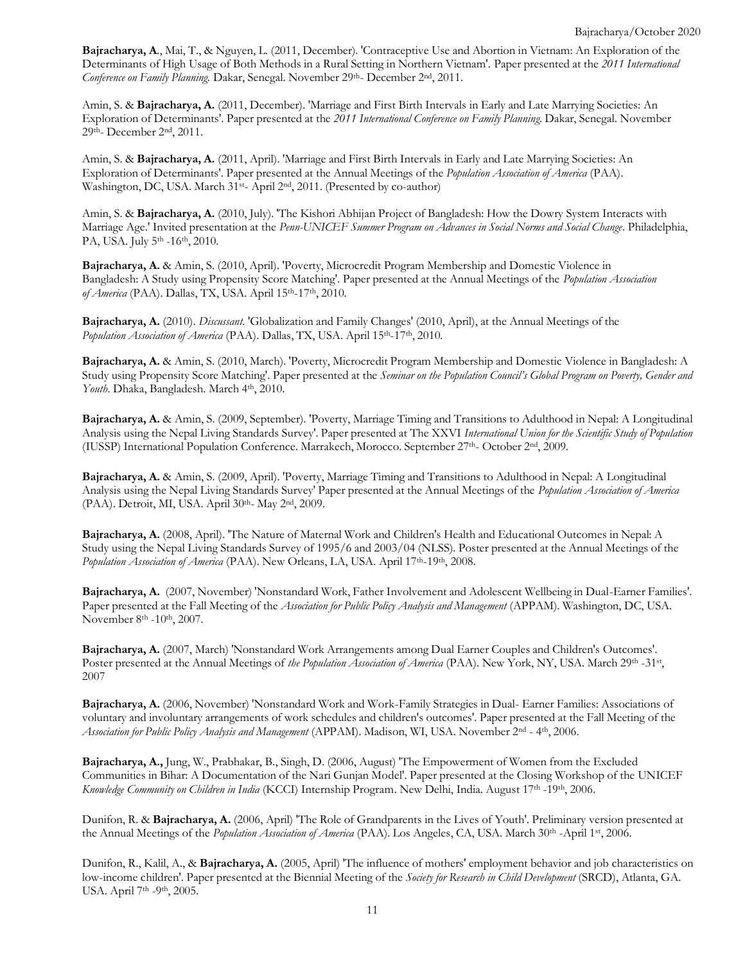**Bajracharya, A**., Mai, T., & Nguyen, L. (2011, December). 'Contraceptive Use and Abortion in Vietnam: An Exploration of the Determinants of High Usage of Both Methods in a Rural Setting in Northern Vietnam'. Paper presented at the *2011 International* Conference on Family Planning. Dakar, Senegal. November 29th- December 2<sup>nd</sup>, 2011.

Amin, S. & **Bajracharya, A.** (2011, December). 'Marriage and First Birth Intervals in Early and Late Marrying Societies: An Exploration of Determinants'. Paper presented at the *2011 International Conference on Family Planning.* Dakar, Senegal. November 29<sup>th</sup>- December 2<sup>nd</sup>, 2011.

Amin, S. & **Bajracharya, A.** (2011, April). 'Marriage and First Birth Intervals in Early and Late Marrying Societies: An Exploration of Determinants'. Paper presented at the Annual Meetings of the *Population Association of America* (PAA). Washington, DC, USA. March 31<sup>st</sup>- April 2<sup>nd</sup>, 2011. (Presented by co-author)

Amin, S. & **Bajracharya, A.** (2010, July). 'The Kishori Abhijan Project of Bangladesh: How the Dowry System Interacts with Marriage Age.' Invited presentation at the *Penn-UNICEF Summer Program on Advances in Social Norms and Social Change*. Philadelphia, PA, USA. July 5<sup>th</sup> -16<sup>th</sup>, 2010.

**Bajracharya, A.** & Amin, S. (2010, April). 'Poverty, Microcredit Program Membership and Domestic Violence in Bangladesh: A Study using Propensity Score Matching'. Paper presented at the Annual Meetings of the *Population Association* of *America* (PAA). Dallas, TX, USA. April 15<sup>th</sup>-17<sup>th</sup>, 2010.

**Bajracharya, A.** (2010). *Discussant.* 'Globalization and Family Changes' (2010, April), at the Annual Meetings of the Population Association of America (PAA). Dallas, TX, USA. April 15<sup>th</sup>-17<sup>th</sup>, 2010.

**Bajracharya, A.** & Amin, S. (2010, March). 'Poverty, Microcredit Program Membership and Domestic Violence in Bangladesh: A Study using Propensity Score Matching'. Paper presented at the Seminar on the Population Council's Global Program on Poverty, Gender and Youth. Dhaka, Bangladesh. March 4<sup>th</sup>, 2010.

**Bajracharya, A.** & Amin, S. (2009, September). 'Poverty, Marriage Timing and Transitions to Adulthood in Nepal: A Longitudinal Analysis using the Nepal Living Standards Survey'. Paper presented at The XXVI *International Union for the Scientific Study of Population* (IUSSP) International Population Conference. Marrakech, Morocco. September 27<sup>th</sup>- October 2<sup>nd</sup>, 2009.

**Bajracharya, A.** & Amin, S. (2009, April). 'Poverty, Marriage Timing and Transitions to Adulthood in Nepal: A Longitudinal Analysis using the Nepal Living Standards Survey' Paper presented at the Annual Meetings of the *Population Association of America* (PAA). Detroit, MI, USA. April 30<sup>th</sup>- May 2<sup>nd</sup>, 2009.

**Bajracharya, A.** (2008, April). 'The Nature of Maternal Work and Children's Health and Educational Outcomes in Nepal: A Study using the Nepal Living Standards Survey of 1995/6 and 2003/04 (NLSS). Poster presented at the Annual Meetings of the Population Association of America (PAA). New Orleans, LA, USA. April 17<sup>th</sup>-19<sup>th</sup>, 2008.

**Bajracharya, A.** (2007, November) 'Nonstandard Work, Father Involvement and Adolescent Wellbeing in Dual-Earner Families'. Paper presented at the Fall Meeting of the *Association for Public Policy Analysis and Management* (APPAM). Washington, DC, USA. November 8<sup>th</sup> -10<sup>th</sup>, 2007.

**Bajracharya, A.** (2007, March) 'Nonstandard Work Arrangements among Dual Earner Couples and Children's Outcomes'. Poster presented at the Annual Meetings of *the Population Association of America* (PAA). New York, NY, USA. March 29th -31st , 2007

**Bajracharya, A.** (2006, November) 'Nonstandard Work and Work-Family Strategies in Dual- Earner Families: Associations of voluntary and involuntary arrangements of work schedules and children's outcomes'. Paper presented at the Fall Meeting of the *Association for Public Policy Analysis and Management* (APPAM). Madison, WI, USA. November 2 nd - 4 th , 2006.

**Bajracharya, A.,** Jung, W., Prabhakar, B., Singh, D. (2006, August) 'The Empowerment of Women from the Excluded Communities in Bihar: A Documentation of the Nari Gunjan Model'. Paper presented at the Closing Workshop of the UNICEF *Knowledge Community on Children in India* (KCCI) Internship Program. New Delhi, India. August 17th -19th , 2006.

Dunifon, R. & **Bajracharya, A.** (2006, April) 'The Role of Grandparents in the Lives of Youth'. Preliminary version presented at the Annual Meetings of the *Population Association of America* (PAA). Los Angeles, CA, USA. March 30<sup>th</sup> -April 1<sup>st</sup>, 2006.

Dunifon, R., Kalil, A., & **Bajracharya, A.** (2005, April) 'The influence of mothers' employment behavior and job characteristics on low-income children'. Paper presented at the Biennial Meeting of the *Society for Research in Child Development* (SRCD), Atlanta, GA. USA. April 7<sup>th</sup> -9<sup>th</sup>, 2005.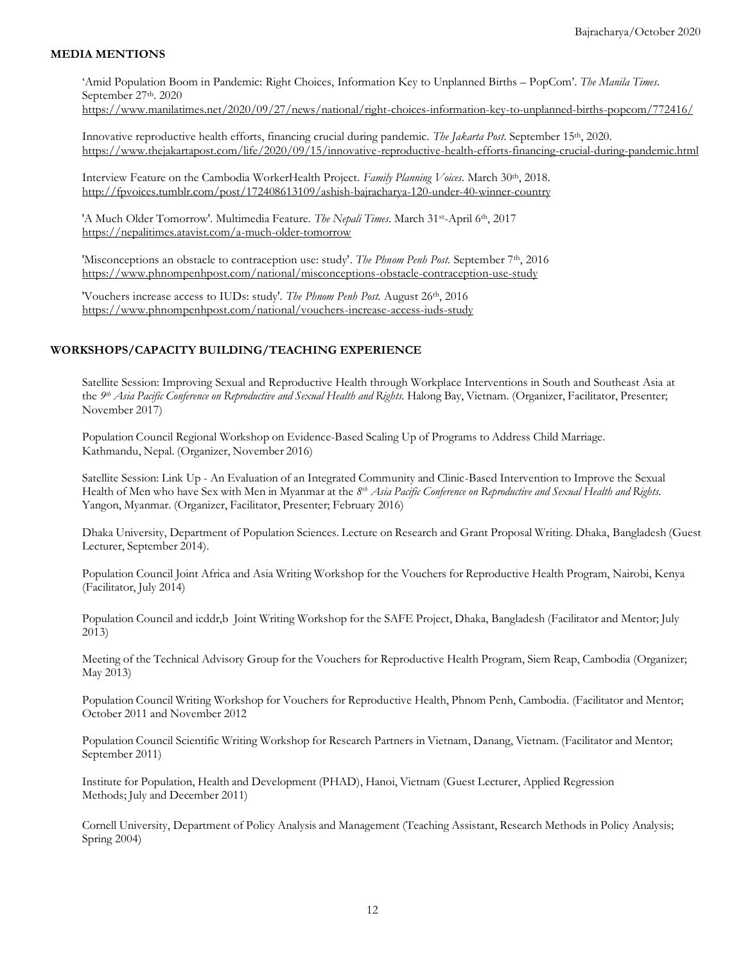## **MEDIA MENTIONS**

'Amid Population Boom in Pandemic: Right Choices, Information Key to Unplanned Births – PopCom'. *The Manila Times*. September 27<sup>th</sup>. 2020

<https://www.manilatimes.net/2020/09/27/news/national/right-choices-information-key-to-unplanned-births-popcom/772416/>

Innovative reproductive health efforts, financing crucial during pandemic. *The Jakarta Post*. September 15th, 2020. <https://www.thejakartapost.com/life/2020/09/15/innovative-reproductive-health-efforts-financing-crucial-during-pandemic.html>

Interview Feature on the Cambodia WorkerHealth Project. *Family Planning Voices.* March 30th, 2018. <http://fpvoices.tumblr.com/post/172408613109/ashish-bajracharya-120-under-40-winner-country>

'A Much Older Tomorrow'. Multimedia Feature. The Nepali Times. March 31st-April 6th, 2017 <https://nepalitimes.atavist.com/a-much-older-tomorrow>

'Misconceptions an obstacle to contraception use: study'. *The Phnom Penh Post.* September 7th, 2016 <https://www.phnompenhpost.com/national/misconceptions-obstacle-contraception-use-study>

'Vouchers increase access to IUDs: study'. *The Phnom Penh Post.* August 26th, 2016 <https://www.phnompenhpost.com/national/vouchers-increase-access-iuds-study>

#### **WORKSHOPS/CAPACITY BUILDING/TEACHING EXPERIENCE**

Satellite Session: Improving Sexual and Reproductive Health through Workplace Interventions in South and Southeast Asia at the *9 th Asia Pacific Conference on Reproductive and Sexual Health and Rights.* Halong Bay, Vietnam. (Organizer, Facilitator, Presenter; November 2017)

Population Council Regional Workshop on Evidence-Based Scaling Up of Programs to Address Child Marriage. Kathmandu, Nepal. (Organizer, November 2016)

Satellite Session: Link Up - An Evaluation of an Integrated Community and Clinic-Based Intervention to Improve the Sexual Health of Men who have Sex with Men in Myanmar at the *8 th Asia Pacific Conference on Reproductive and Sexual Health and Rights.* Yangon, Myanmar. (Organizer, Facilitator, Presenter; February 2016)

Dhaka University, Department of Population Sciences. Lecture on Research and Grant Proposal Writing. Dhaka, Bangladesh (Guest Lecturer, September 2014).

Population Council Joint Africa and Asia Writing Workshop for the Vouchers for Reproductive Health Program, Nairobi, Kenya (Facilitator, July 2014)

Population Council and icddr,b Joint Writing Workshop for the SAFE Project, Dhaka, Bangladesh (Facilitator and Mentor; July 2013)

Meeting of the Technical Advisory Group for the Vouchers for Reproductive Health Program, Siem Reap, Cambodia (Organizer; May 2013)

Population Council Writing Workshop for Vouchers for Reproductive Health, Phnom Penh, Cambodia. (Facilitator and Mentor; October 2011 and November 2012

Population Council Scientific Writing Workshop for Research Partners in Vietnam, Danang, Vietnam. (Facilitator and Mentor; September 2011)

Institute for Population, Health and Development (PHAD), Hanoi, Vietnam (Guest Lecturer, Applied Regression Methods; July and December 2011)

Cornell University, Department of Policy Analysis and Management (Teaching Assistant, Research Methods in Policy Analysis; Spring 2004)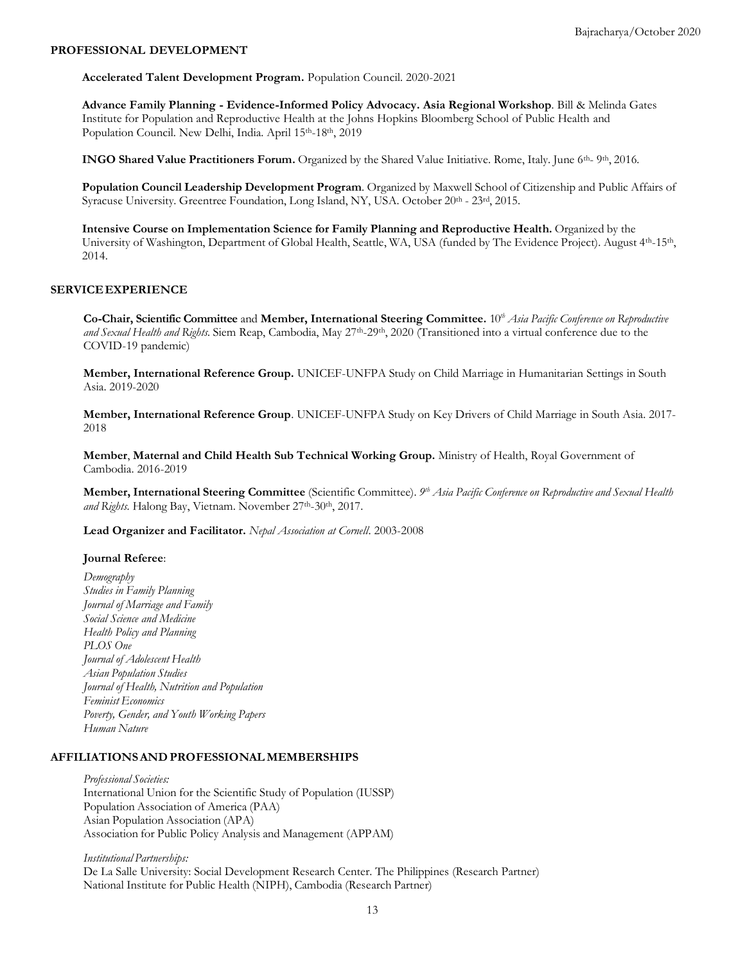#### **PROFESSIONAL DEVELOPMENT**

**Accelerated Talent Development Program.** Population Council. 2020-2021

**Advance Family Planning - Evidence-Informed Policy Advocacy. Asia Regional Workshop***.* Bill & Melinda Gates Institute for Population and Reproductive Health at the Johns Hopkins Bloomberg School of Public Health and Population Council. New Delhi, India. April 15<sup>th</sup>-18<sup>th</sup>, 2019

**INGO Shared Value Practitioners Forum.** Organized by the Shared Value Initiative. Rome, Italy. June 6<sup>th</sup>- 9<sup>th</sup>, 2016.

**Population Council Leadership Development Program**. Organized by Maxwell School of Citizenship and Public Affairs of Syracuse University. Greentree Foundation, Long Island, NY, USA. October 20th - 23rd, 2015.

**Intensive Course on Implementation Science for Family Planning and Reproductive Health.** Organized by the University of Washington, Department of Global Health, Seattle, WA, USA (funded by The Evidence Project). August 4<sup>th</sup>-15<sup>th</sup>, 2014.

#### **SERVICEEXPERIENCE**

**Co-Chair, Scientific Committee** and **Member, International Steering Committee.** 10*th Asia Pacific Conference on Reproductive and Sexual Health and Rights.* Siem Reap, Cambodia, May 27th -29th, 2020 (Transitioned into a virtual conference due to the COVID-19 pandemic)

**Member, International Reference Group.** UNICEF-UNFPA Study on Child Marriage in Humanitarian Settings in South Asia. 2019-2020

**Member, International Reference Group**. UNICEF-UNFPA Study on Key Drivers of Child Marriage in South Asia. 2017- 2018

**Member**, **Maternal and Child Health Sub Technical Working Group.** Ministry of Health, Royal Government of Cambodia. 2016-2019

Member, International Steering Committee (Scientific Committee). 9th Asia Pacific Conference on Reproductive and Sexual Health and Rights. Halong Bay, Vietnam. November 27<sup>th</sup>-30<sup>th</sup>, 2017.

**Lead Organizer and Facilitator.** *Nepal Association at Cornell*. 2003-2008

#### **Journal Referee**:

*Demography Studies in Family Planning Journal of Marriage and Family Social Science and Medicine Health Policy and Planning PLOS One Journal of Adolescent Health Asian Population Studies Journal of Health, Nutrition and Population Feminist Economics Poverty, Gender, and Youth Working Papers Human Nature*

#### **AFFILIATIONSAND PROFESSIONAL MEMBERSHIPS**

*Professional Societies:* International Union for the Scientific Study of Population (IUSSP) Population Association of America (PAA) Asian Population Association (APA) Association for Public Policy Analysis and Management (APPAM)

*Institutional Partnerships:* De La Salle University: Social Development Research Center. The Philippines (Research Partner) National Institute for Public Health (NIPH), Cambodia (Research Partner)